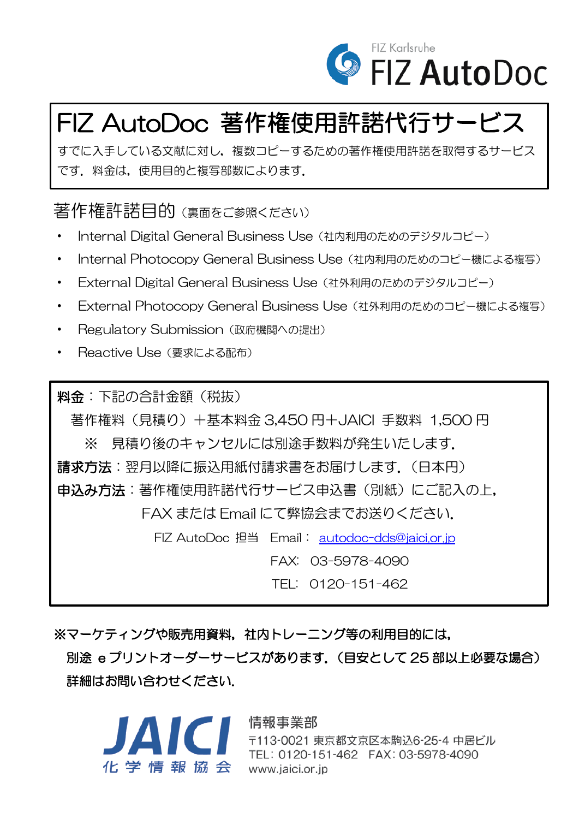

## FIZ AutoDoc 著作権使用許諾代行サービス

すでに入手している文献に対し,複数コピーするための著作権使用許諾を取得するサービス です.料金は,使用目的と複写部数によります.

## 著作権許諾目的(裏面をご参照ください)

- ・ Internal Digital General Business Use(社内利用のためのデジタルコピー)
- ・ Internal Photocopy General Business Use(社内利用のためのコピー機による複写)
- ・ External Digital General Business Use(社外利用のためのデジタルコピー)
- ・ External Photocopy General Business Use(社外利用のためのコピー機による複写)
- ・ Regulatory Submission(政府機関への提出)
- Reactive Use (要求による配布)

料金:下記の合計金額 (税抜)

著作権料 (見積り) +基本料金 3,450 円+JAICI 手数料 1,500 円 ※ 見積り後のキャンセルには別途手数料が発生いたします. 請求方法:翌月以降に振込用紙付請求書をお届けします.(日本円) 申込み方法:著作権使用許諾代行サービス申込書(別紙)にご記入の上, FAX または Email にて弊協会までお送りください. FIZ AutoDoc 担当 Email: [autodoc-dds@jaici.or.jp](mailto:autodoc-dds@jaici.or.jp) FAX: 03-5978-4090 TEL: 0120-151-462

※マーケティングや販売用資料,社内トレーニング等の利用目的には, 別途 e プリントオーダーサービスがあります.(目安として 25 部以上必要な場合) 詳細はお問い合わせください.